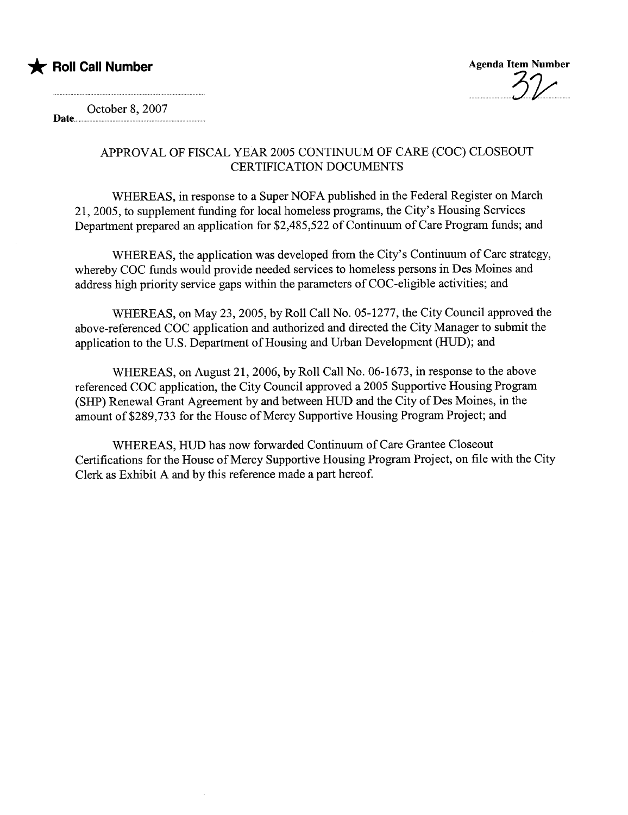

 $.9\nu$ 

October 8, 2007 Date....

> APPROVAL OF FISCAL YEAR 2005 CONTINUUM OF CARE (COC) CLOSEOUT CERTIFICATION DOCUMENTS

WHEREAS, in response to a Super NOFA published in the Federal Register on March 21,2005, to supplement fuding for local homeless programs, the City's Housing Services Department prepared an application for \$2,485,522 of Continuum of Care Program funds; and

WHEREAS, the application was developed from the City's Continuum of Care strategy, whereby COC funds would provide needed services to homeless persons in Des Moines and address high priority service gaps within the parameters of COC-eligible activities; and

WHEREAS, on May 23, 2005, by Roll Call No. 05-1277, the City Council approved the above-referenced COC application and authorized and directed the City Manager to submit the application to the U.S. Department of Housing and Urban Development (HUD); and

WHEREAS, on August 21,2006, by Roll Call No. 06-1673, in response to the above referenced COC application, the City Council approved a 2005 Supportive Housing Program (SHP) Renewal Grant Agreement by and between HUD and the City of Des Moines, in the amount of\$289,733 for the House of Mercy Supportive Housing Program Project; and

WHEREAS, HUD has now forwarded Continuum of Care Grantee Closeout Certifications for the House of Mercy Supportive Housing Program Project, on fie with the City Clerk as Exhibit A and by this reference made a part hereof.